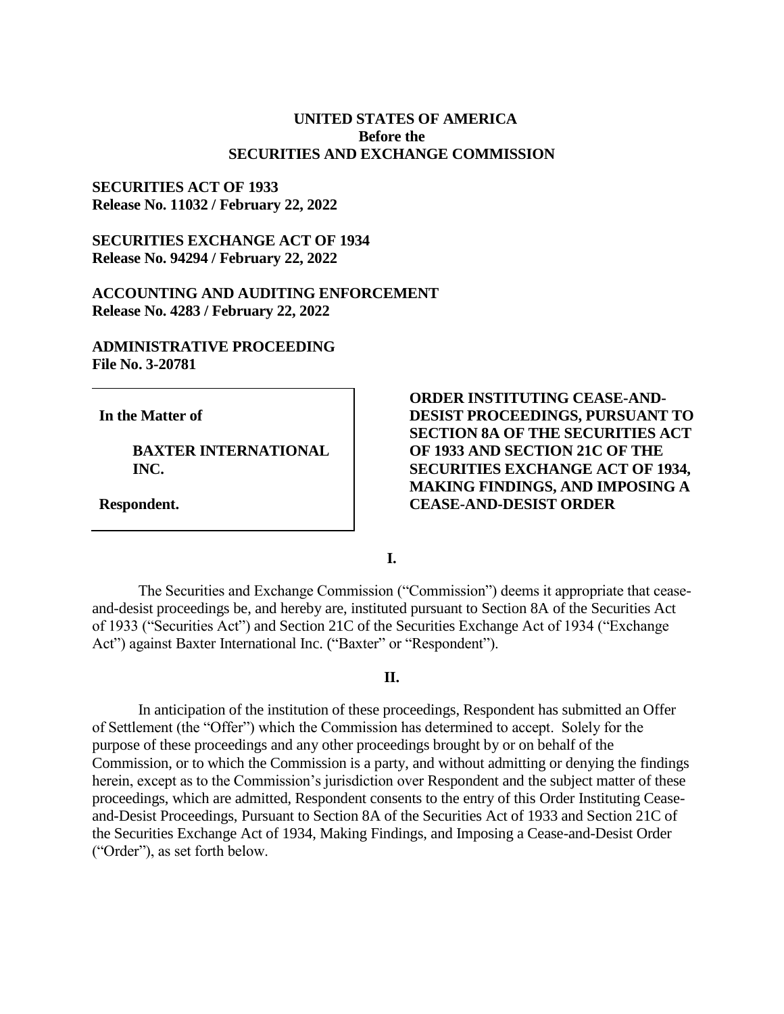## **UNITED STATES OF AMERICA Before the SECURITIES AND EXCHANGE COMMISSION**

### **SECURITIES ACT OF 1933 Release No. 11032 / February 22, 2022**

## **SECURITIES EXCHANGE ACT OF 1934 Release No. 94294 / February 22, 2022**

### **ACCOUNTING AND AUDITING ENFORCEMENT Release No. 4283 / February 22, 2022**

# **ADMINISTRATIVE PROCEEDING File No. 3-20781**

**In the Matter of**

**BAXTER INTERNATIONAL INC.**

**Respondent.**

# **ORDER INSTITUTING CEASE-AND-DESIST PROCEEDINGS, PURSUANT TO SECTION 8A OF THE SECURITIES ACT OF 1933 AND SECTION 21C OF THE SECURITIES EXCHANGE ACT OF 1934, MAKING FINDINGS, AND IMPOSING A CEASE-AND-DESIST ORDER**

**I.**

The Securities and Exchange Commission ("Commission") deems it appropriate that ceaseand-desist proceedings be, and hereby are, instituted pursuant to Section 8A of the Securities Act of 1933 ("Securities Act") and Section 21C of the Securities Exchange Act of 1934 ("Exchange Act") against Baxter International Inc. ("Baxter" or "Respondent").

### **II.**

In anticipation of the institution of these proceedings, Respondent has submitted an Offer of Settlement (the "Offer") which the Commission has determined to accept. Solely for the purpose of these proceedings and any other proceedings brought by or on behalf of the Commission, or to which the Commission is a party, and without admitting or denying the findings herein, except as to the Commission's jurisdiction over Respondent and the subject matter of these proceedings, which are admitted, Respondent consents to the entry of this Order Instituting Ceaseand-Desist Proceedings, Pursuant to Section 8A of the Securities Act of 1933 and Section 21C of the Securities Exchange Act of 1934, Making Findings, and Imposing a Cease-and-Desist Order ("Order"), as set forth below.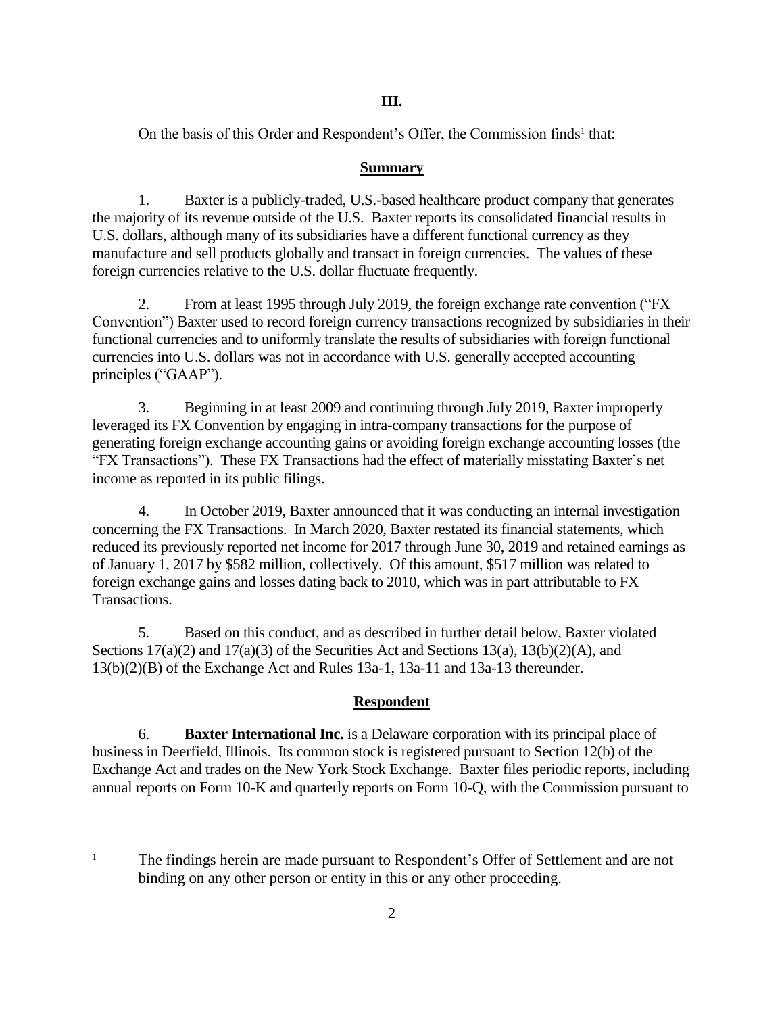# **III.**

On the basis of this Order and Respondent's Offer, the Commission finds<sup>1</sup> that:

## **Summary**

1. Baxter is a publicly-traded, U.S.-based healthcare product company that generates the majority of its revenue outside of the U.S. Baxter reports its consolidated financial results in U.S. dollars, although many of its subsidiaries have a different functional currency as they manufacture and sell products globally and transact in foreign currencies. The values of these foreign currencies relative to the U.S. dollar fluctuate frequently.

2. From at least 1995 through July 2019, the foreign exchange rate convention ("FX Convention") Baxter used to record foreign currency transactions recognized by subsidiaries in their functional currencies and to uniformly translate the results of subsidiaries with foreign functional currencies into U.S. dollars was not in accordance with U.S. generally accepted accounting principles ("GAAP").

3. Beginning in at least 2009 and continuing through July 2019, Baxter improperly leveraged its FX Convention by engaging in intra-company transactions for the purpose of generating foreign exchange accounting gains or avoiding foreign exchange accounting losses (the "FX Transactions"). These FX Transactions had the effect of materially misstating Baxter's net income as reported in its public filings.

4. In October 2019, Baxter announced that it was conducting an internal investigation concerning the FX Transactions. In March 2020, Baxter restated its financial statements, which reduced its previously reported net income for 2017 through June 30, 2019 and retained earnings as of January 1, 2017 by \$582 million, collectively. Of this amount, \$517 million was related to foreign exchange gains and losses dating back to 2010, which was in part attributable to FX Transactions.

5. Based on this conduct, and as described in further detail below, Baxter violated Sections  $17(a)(2)$  and  $17(a)(3)$  of the Securities Act and Sections  $13(a)$ ,  $13(b)(2)(A)$ , and 13(b)(2)(B) of the Exchange Act and Rules 13a-1, 13a-11 and 13a-13 thereunder.

# **Respondent**

6. **Baxter International Inc.** is a Delaware corporation with its principal place of business in Deerfield, Illinois. Its common stock is registered pursuant to Section 12(b) of the Exchange Act and trades on the New York Stock Exchange. Baxter files periodic reports, including annual reports on Form 10-K and quarterly reports on Form 10-Q, with the Commission pursuant to

 $\overline{a}$ 

<sup>&</sup>lt;sup>1</sup> The findings herein are made pursuant to Respondent's Offer of Settlement and are not binding on any other person or entity in this or any other proceeding.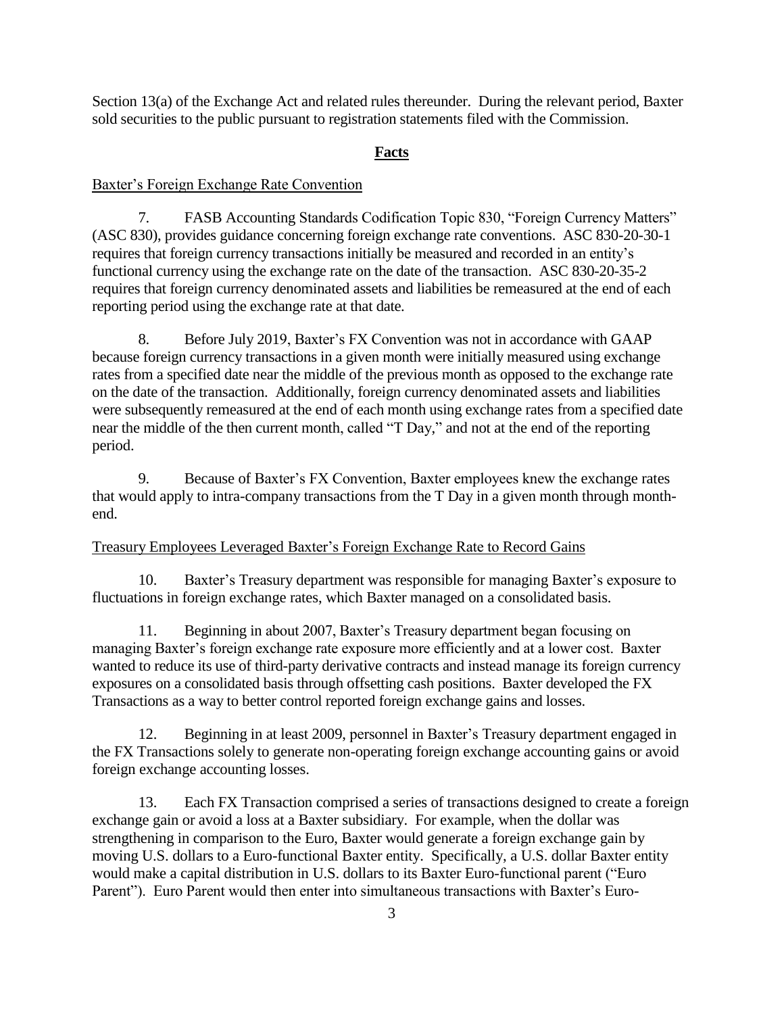Section 13(a) of the Exchange Act and related rules thereunder. During the relevant period, Baxter sold securities to the public pursuant to registration statements filed with the Commission.

### **Facts**

#### Baxter's Foreign Exchange Rate Convention

7. FASB Accounting Standards Codification Topic 830, "Foreign Currency Matters" (ASC 830), provides guidance concerning foreign exchange rate conventions. ASC 830-20-30-1 requires that foreign currency transactions initially be measured and recorded in an entity's functional currency using the exchange rate on the date of the transaction. ASC 830-20-35-2 requires that foreign currency denominated assets and liabilities be remeasured at the end of each reporting period using the exchange rate at that date.

8. Before July 2019, Baxter's FX Convention was not in accordance with GAAP because foreign currency transactions in a given month were initially measured using exchange rates from a specified date near the middle of the previous month as opposed to the exchange rate on the date of the transaction. Additionally, foreign currency denominated assets and liabilities were subsequently remeasured at the end of each month using exchange rates from a specified date near the middle of the then current month, called "T Day," and not at the end of the reporting period.

9. Because of Baxter's FX Convention, Baxter employees knew the exchange rates that would apply to intra-company transactions from the T Day in a given month through monthend.

### Treasury Employees Leveraged Baxter's Foreign Exchange Rate to Record Gains

10. Baxter's Treasury department was responsible for managing Baxter's exposure to fluctuations in foreign exchange rates, which Baxter managed on a consolidated basis.

11. Beginning in about 2007, Baxter's Treasury department began focusing on managing Baxter's foreign exchange rate exposure more efficiently and at a lower cost. Baxter wanted to reduce its use of third-party derivative contracts and instead manage its foreign currency exposures on a consolidated basis through offsetting cash positions. Baxter developed the FX Transactions as a way to better control reported foreign exchange gains and losses.

12. Beginning in at least 2009, personnel in Baxter's Treasury department engaged in the FX Transactions solely to generate non-operating foreign exchange accounting gains or avoid foreign exchange accounting losses.

13. Each FX Transaction comprised a series of transactions designed to create a foreign exchange gain or avoid a loss at a Baxter subsidiary. For example, when the dollar was strengthening in comparison to the Euro, Baxter would generate a foreign exchange gain by moving U.S. dollars to a Euro-functional Baxter entity. Specifically, a U.S. dollar Baxter entity would make a capital distribution in U.S. dollars to its Baxter Euro-functional parent ("Euro Parent"). Euro Parent would then enter into simultaneous transactions with Baxter's Euro-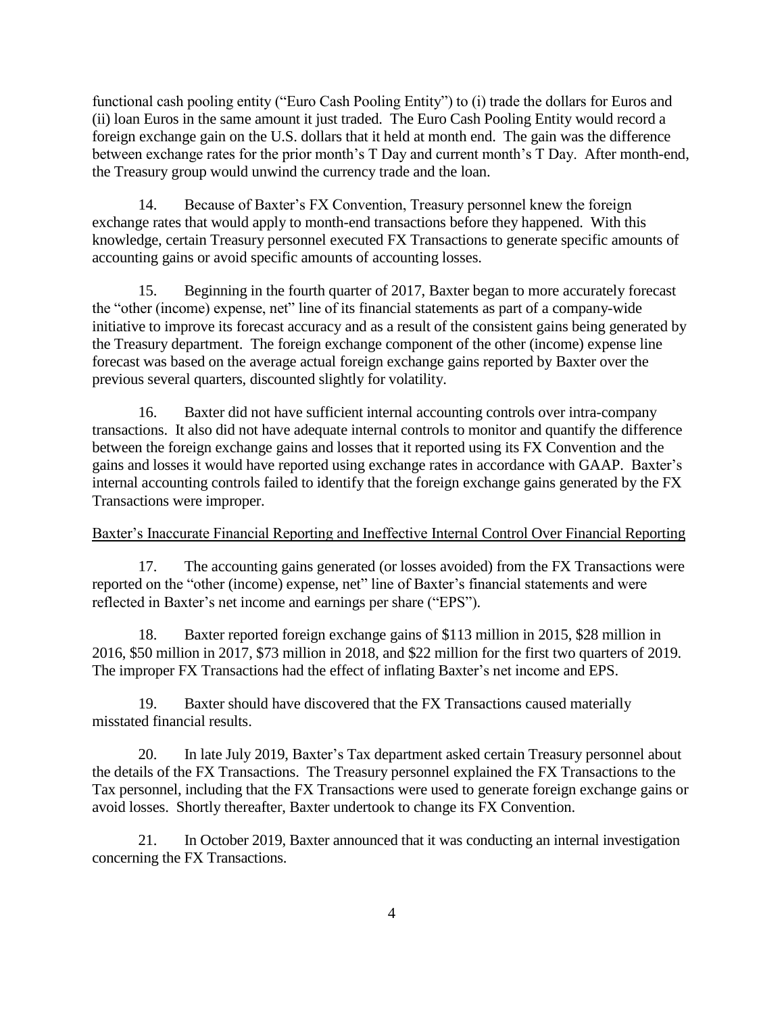functional cash pooling entity ("Euro Cash Pooling Entity") to (i) trade the dollars for Euros and (ii) loan Euros in the same amount it just traded. The Euro Cash Pooling Entity would record a foreign exchange gain on the U.S. dollars that it held at month end. The gain was the difference between exchange rates for the prior month's T Day and current month's T Day. After month-end, the Treasury group would unwind the currency trade and the loan.

14. Because of Baxter's FX Convention, Treasury personnel knew the foreign exchange rates that would apply to month-end transactions before they happened. With this knowledge, certain Treasury personnel executed FX Transactions to generate specific amounts of accounting gains or avoid specific amounts of accounting losses.

15. Beginning in the fourth quarter of 2017, Baxter began to more accurately forecast the "other (income) expense, net" line of its financial statements as part of a company-wide initiative to improve its forecast accuracy and as a result of the consistent gains being generated by the Treasury department. The foreign exchange component of the other (income) expense line forecast was based on the average actual foreign exchange gains reported by Baxter over the previous several quarters, discounted slightly for volatility.

16. Baxter did not have sufficient internal accounting controls over intra-company transactions. It also did not have adequate internal controls to monitor and quantify the difference between the foreign exchange gains and losses that it reported using its FX Convention and the gains and losses it would have reported using exchange rates in accordance with GAAP. Baxter's internal accounting controls failed to identify that the foreign exchange gains generated by the FX Transactions were improper.

## Baxter's Inaccurate Financial Reporting and Ineffective Internal Control Over Financial Reporting

17. The accounting gains generated (or losses avoided) from the FX Transactions were reported on the "other (income) expense, net" line of Baxter's financial statements and were reflected in Baxter's net income and earnings per share ("EPS").

18. Baxter reported foreign exchange gains of \$113 million in 2015, \$28 million in 2016, \$50 million in 2017, \$73 million in 2018, and \$22 million for the first two quarters of 2019. The improper FX Transactions had the effect of inflating Baxter's net income and EPS.

19. Baxter should have discovered that the FX Transactions caused materially misstated financial results.

20. In late July 2019, Baxter's Tax department asked certain Treasury personnel about the details of the FX Transactions. The Treasury personnel explained the FX Transactions to the Tax personnel, including that the FX Transactions were used to generate foreign exchange gains or avoid losses. Shortly thereafter, Baxter undertook to change its FX Convention.

21. In October 2019, Baxter announced that it was conducting an internal investigation concerning the FX Transactions.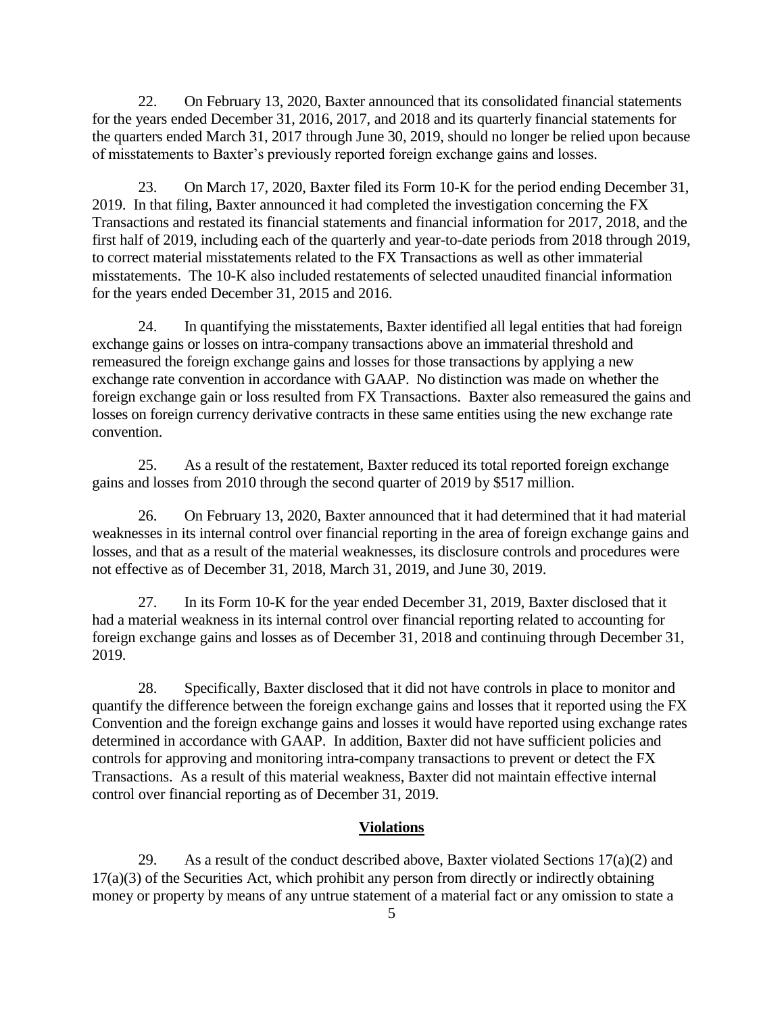22. On February 13, 2020, Baxter announced that its consolidated financial statements for the years ended December 31, 2016, 2017, and 2018 and its quarterly financial statements for the quarters ended March 31, 2017 through June 30, 2019, should no longer be relied upon because of misstatements to Baxter's previously reported foreign exchange gains and losses.

23. On March 17, 2020, Baxter filed its Form 10-K for the period ending December 31, 2019. In that filing, Baxter announced it had completed the investigation concerning the FX Transactions and restated its financial statements and financial information for 2017, 2018, and the first half of 2019, including each of the quarterly and year-to-date periods from 2018 through 2019, to correct material misstatements related to the FX Transactions as well as other immaterial misstatements. The 10-K also included restatements of selected unaudited financial information for the years ended December 31, 2015 and 2016.

24. In quantifying the misstatements, Baxter identified all legal entities that had foreign exchange gains or losses on intra-company transactions above an immaterial threshold and remeasured the foreign exchange gains and losses for those transactions by applying a new exchange rate convention in accordance with GAAP. No distinction was made on whether the foreign exchange gain or loss resulted from FX Transactions. Baxter also remeasured the gains and losses on foreign currency derivative contracts in these same entities using the new exchange rate convention.

25. As a result of the restatement, Baxter reduced its total reported foreign exchange gains and losses from 2010 through the second quarter of 2019 by \$517 million.

26. On February 13, 2020, Baxter announced that it had determined that it had material weaknesses in its internal control over financial reporting in the area of foreign exchange gains and losses, and that as a result of the material weaknesses, its disclosure controls and procedures were not effective as of December 31, 2018, March 31, 2019, and June 30, 2019.

27. In its Form 10-K for the year ended December 31, 2019, Baxter disclosed that it had a material weakness in its internal control over financial reporting related to accounting for foreign exchange gains and losses as of December 31, 2018 and continuing through December 31, 2019.

28. Specifically, Baxter disclosed that it did not have controls in place to monitor and quantify the difference between the foreign exchange gains and losses that it reported using the FX Convention and the foreign exchange gains and losses it would have reported using exchange rates determined in accordance with GAAP. In addition, Baxter did not have sufficient policies and controls for approving and monitoring intra-company transactions to prevent or detect the FX Transactions. As a result of this material weakness, Baxter did not maintain effective internal control over financial reporting as of December 31, 2019.

### **Violations**

29. As a result of the conduct described above, Baxter violated Sections  $17(a)(2)$  and 17(a)(3) of the Securities Act, which prohibit any person from directly or indirectly obtaining money or property by means of any untrue statement of a material fact or any omission to state a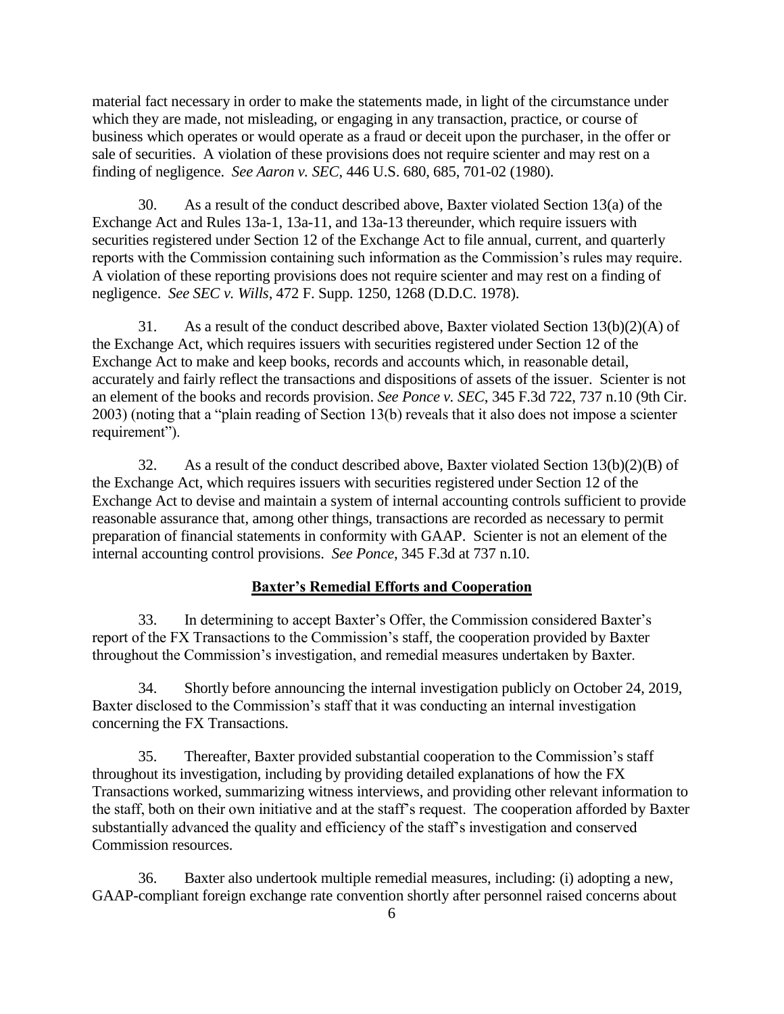material fact necessary in order to make the statements made, in light of the circumstance under which they are made, not misleading, or engaging in any transaction, practice, or course of business which operates or would operate as a fraud or deceit upon the purchaser, in the offer or sale of securities. A violation of these provisions does not require scienter and may rest on a finding of negligence. *See Aaron v. SEC*, 446 U.S. 680, 685, 701-02 (1980).

30. As a result of the conduct described above, Baxter violated Section 13(a) of the Exchange Act and Rules 13a-1, 13a-11, and 13a-13 thereunder, which require issuers with securities registered under Section 12 of the Exchange Act to file annual, current, and quarterly reports with the Commission containing such information as the Commission's rules may require. A violation of these reporting provisions does not require scienter and may rest on a finding of negligence. *See SEC v. Wills*, 472 F. Supp. 1250, 1268 (D.D.C. 1978).

31. As a result of the conduct described above, Baxter violated Section  $13(b)(2)(A)$  of the Exchange Act, which requires issuers with securities registered under Section 12 of the Exchange Act to make and keep books, records and accounts which, in reasonable detail, accurately and fairly reflect the transactions and dispositions of assets of the issuer. Scienter is not an element of the books and records provision. *See Ponce v. SEC*, 345 F.3d 722, 737 n.10 (9th Cir. 2003) (noting that a "plain reading of Section 13(b) reveals that it also does not impose a scienter requirement").

32. As a result of the conduct described above, Baxter violated Section 13(b)(2)(B) of the Exchange Act, which requires issuers with securities registered under Section 12 of the Exchange Act to devise and maintain a system of internal accounting controls sufficient to provide reasonable assurance that, among other things, transactions are recorded as necessary to permit preparation of financial statements in conformity with GAAP. Scienter is not an element of the internal accounting control provisions. *See Ponce*, 345 F.3d at 737 n.10.

### **Baxter's Remedial Efforts and Cooperation**

33. In determining to accept Baxter's Offer, the Commission considered Baxter's report of the FX Transactions to the Commission's staff, the cooperation provided by Baxter throughout the Commission's investigation, and remedial measures undertaken by Baxter.

34. Shortly before announcing the internal investigation publicly on October 24, 2019, Baxter disclosed to the Commission's staff that it was conducting an internal investigation concerning the FX Transactions.

35. Thereafter, Baxter provided substantial cooperation to the Commission's staff throughout its investigation, including by providing detailed explanations of how the FX Transactions worked, summarizing witness interviews, and providing other relevant information to the staff, both on their own initiative and at the staff's request. The cooperation afforded by Baxter substantially advanced the quality and efficiency of the staff's investigation and conserved Commission resources.

36. Baxter also undertook multiple remedial measures, including: (i) adopting a new, GAAP-compliant foreign exchange rate convention shortly after personnel raised concerns about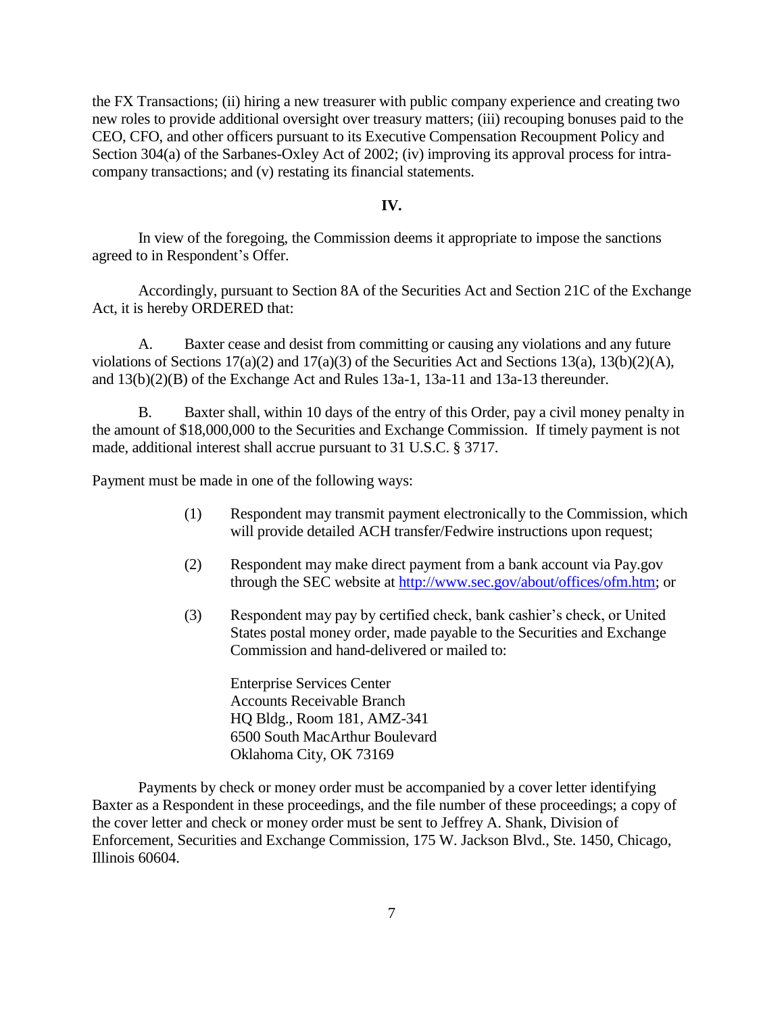the FX Transactions; (ii) hiring a new treasurer with public company experience and creating two new roles to provide additional oversight over treasury matters; (iii) recouping bonuses paid to the CEO, CFO, and other officers pursuant to its Executive Compensation Recoupment Policy and Section 304(a) of the Sarbanes-Oxley Act of 2002; (iv) improving its approval process for intracompany transactions; and (v) restating its financial statements.

### **IV.**

In view of the foregoing, the Commission deems it appropriate to impose the sanctions agreed to in Respondent's Offer.

Accordingly, pursuant to Section 8A of the Securities Act and Section 21C of the Exchange Act, it is hereby ORDERED that:

A. Baxter cease and desist from committing or causing any violations and any future violations of Sections 17(a)(2) and 17(a)(3) of the Securities Act and Sections 13(a), 13(b)(2)(A), and 13(b)(2)(B) of the Exchange Act and Rules 13a-1, 13a-11 and 13a-13 thereunder.

B. Baxter shall, within 10 days of the entry of this Order, pay a civil money penalty in the amount of \$18,000,000 to the Securities and Exchange Commission. If timely payment is not made, additional interest shall accrue pursuant to 31 U.S.C. § 3717.

Payment must be made in one of the following ways:

- (1) Respondent may transmit payment electronically to the Commission, which will provide detailed ACH transfer/Fedwire instructions upon request;
- (2) Respondent may make direct payment from a bank account via Pay.gov through the SEC website at [http://www.sec.gov/about/offices/ofm.htm;](http://www.sec.gov/about/offices/ofm.htm) or
- (3) Respondent may pay by certified check, bank cashier's check, or United States postal money order, made payable to the Securities and Exchange Commission and hand-delivered or mailed to:

Enterprise Services Center Accounts Receivable Branch HQ Bldg., Room 181, AMZ-341 6500 South MacArthur Boulevard Oklahoma City, OK 73169

Payments by check or money order must be accompanied by a cover letter identifying Baxter as a Respondent in these proceedings, and the file number of these proceedings; a copy of the cover letter and check or money order must be sent to Jeffrey A. Shank, Division of Enforcement, Securities and Exchange Commission, 175 W. Jackson Blvd., Ste. 1450, Chicago, Illinois 60604.